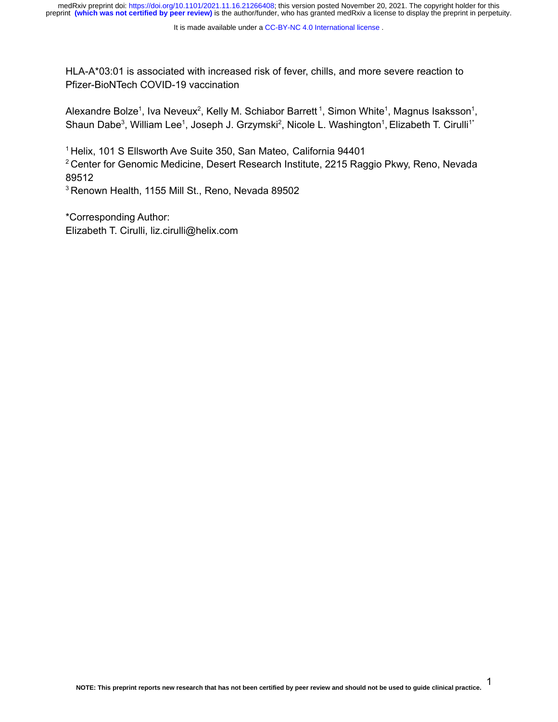HLA-A\*03:01 is associated with increased risk of fever, chills, and more severe reaction to Pfizer-BioNTech COVID-19 vaccination

Alexandre Bolze<sup>1</sup>, Iva Neveux<sup>2</sup>, Kelly M. Schiabor Barrett<sup>1</sup>, Simon White<sup>1</sup>, Magnus Isaksson<sup>1</sup>, Shaun Dabe<sup>3</sup>, William Lee<sup>1</sup>, Joseph J. Grzymski<sup>2</sup>, Nicole L. Washington<sup>1</sup>, Elizabeth T. Cirulli<sup>1\*</sup>

<sup>1</sup> Helix, 101 S Ellsworth Ave Suite 350, San Mateo, California 94401

<sup>2</sup> Center for Genomic Medicine, Desert Research Institute, 2215 Raggio Pkwy, Reno, Nevada 89512

<sup>3</sup> Renown Health, 1155 Mill St., Reno, Nevada 89502

\*Corresponding Author: Elizabeth T. Cirulli, liz.cirulli@helix.com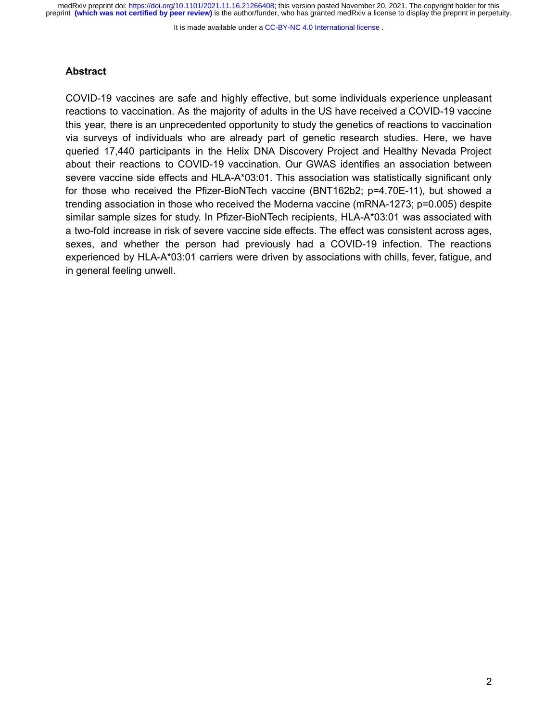It is made available under a [CC-BY-NC 4.0 International license](http://creativecommons.org/licenses/by-nc/4.0/) .

#### **Abstract**

COVID-19 vaccines are safe and highly effective, but some individuals experience unpleasant reactions to vaccination. As the majority of adults in the US have received a COVID-19 vaccine this year, there is an unprecedented opportunity to study the genetics of reactions to vaccination via surveys of individuals who are already part of genetic research studies. Here, we have queried 17,440 participants in the Helix DNA Discovery Project and Healthy Nevada Project about their reactions to COVID-19 vaccination. Our GWAS identifies an association between severe vaccine side effects and HLA-A\*03:01. This association was statistically significant only for those who received the Pfizer-BioNTech vaccine (BNT162b2; p=4.70E-11), but showed a trending association in those who received the Moderna vaccine (mRNA-1273; p=0.005) despite similar sample sizes for study. In Pfizer-BioNTech recipients, HLA-A\*03:01 was associated with a two-fold increase in risk of severe vaccine side effects. The effect was consistent across ages, sexes, and whether the person had previously had a COVID-19 infection. The reactions experienced by HLA-A\*03:01 carriers were driven by associations with chills, fever, fatigue, and in general feeling unwell.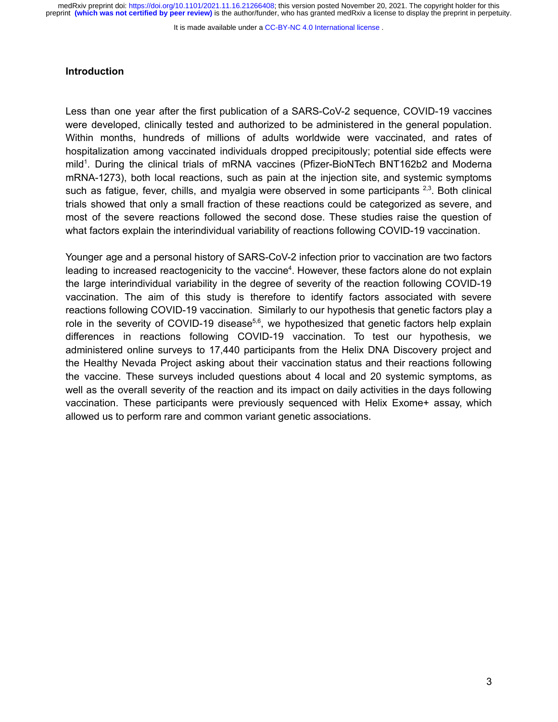It is made available under a [CC-BY-NC 4.0 International license](http://creativecommons.org/licenses/by-nc/4.0/) .

## **Introduction**

Less than one year after the first publication of a SARS-CoV-2 sequence, COVID-19 vaccines were developed, clinically tested and authorized to be administered in the general population. Within months, hundreds of millions of adults worldwide were vaccinated, and rates of hospitalization among vaccinated individuals dropped precipitously; potential side effects were mild<sup>[1](https://paperpile.com/c/dViNnc/4pSY)</sup>. During the clinical trials of mRNA vaccines (Pfizer-BioNTech BNT162b2 and Moderna mRNA-1273), both local reactions, such as pain at the injection site, and systemic symptoms such as fatigue, fever, chills, and myalgia were observed in some participants  $2,3$ . Both clinical trials showed that only a small fraction of these reactions could be categorized as severe, and most of the severe reactions followed the second dose. These studies raise the question of what factors explain the interindividual variability of reactions following COVID-19 vaccination.

Younger age and a personal history of SARS-CoV-2 infection prior to vaccination are two factors leading to increased reactogenicity to the vaccine<sup>[4](https://paperpile.com/c/dViNnc/8etY)</sup>. However, these factors alone do not explain the large interindividual variability in the degree of severity of the reaction following COVID-19 vaccination. The aim of this study is therefore to identify factors associated with severe reactions following COVID-19 vaccination. Similarly to our hypothesis that genetic factors play a role in the severity of COVID-19 disease<sup>[5,6](https://paperpile.com/c/dViNnc/vZ5T+0k8P)</sup>, we hypothesized that genetic factors help explain differences in reactions following COVID-19 vaccination. To test our hypothesis, we administered online surveys to 17,440 participants from the Helix DNA Discovery project and the Healthy Nevada Project asking about their vaccination status and their reactions following the vaccine. These surveys included questions about 4 local and 20 systemic symptoms, as well as the overall severity of the reaction and its impact on daily activities in the days following vaccination. These participants were previously sequenced with Helix Exome+ assay, which allowed us to perform rare and common variant genetic associations.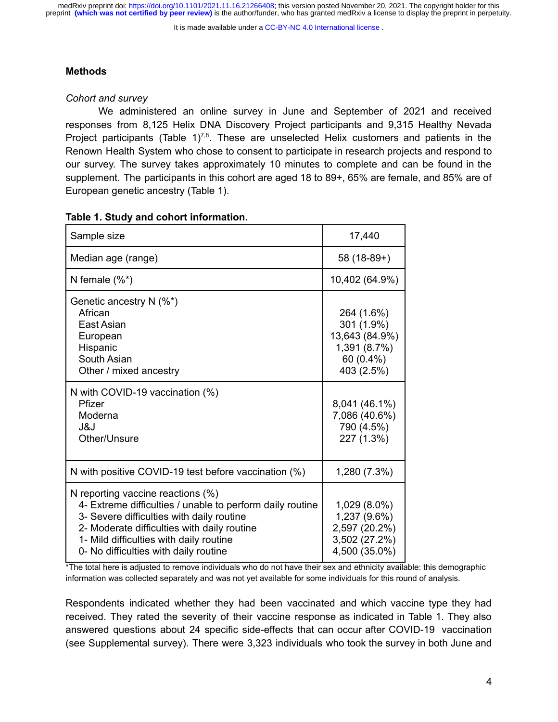It is made available under a [CC-BY-NC 4.0 International license](http://creativecommons.org/licenses/by-nc/4.0/) .

# **Methods**

# *Cohort and survey*

We administered an online survey in June and September of 2021 and received responses from 8,125 Helix DNA Discovery Project participants and 9,315 Healthy Nevada Project participants (Table  $1^{7,8}$  $1^{7,8}$  $1^{7,8}$ . These are unselected Helix customers and patients in the Renown Health System who chose to consent to participate in research projects and respond to our survey. The survey takes approximately 10 minutes to complete and can be found in the supplement. The participants in this cohort are aged 18 to 89+, 65% are female, and 85% are of European genetic ancestry (Table 1).

| Sample size                                                                                                                                                                                                                                                                       | 17,440                                                                                |
|-----------------------------------------------------------------------------------------------------------------------------------------------------------------------------------------------------------------------------------------------------------------------------------|---------------------------------------------------------------------------------------|
| Median age (range)                                                                                                                                                                                                                                                                | $58(18-89+)$                                                                          |
| N female $(\%^*)$                                                                                                                                                                                                                                                                 | 10,402 (64.9%)                                                                        |
| Genetic ancestry $N$ (%*)<br>African<br>East Asian<br>European<br>Hispanic<br>South Asian<br>Other / mixed ancestry                                                                                                                                                               | 264 (1.6%)<br>301 (1.9%)<br>13,643 (84.9%)<br>1,391 (8.7%)<br>60 (0.4%)<br>403 (2.5%) |
| N with COVID-19 vaccination (%)<br>Pfizer<br>Moderna<br>J&J<br>Other/Unsure                                                                                                                                                                                                       | 8,041 (46.1%)<br>7,086 (40.6%)<br>790 (4.5%)<br>227 (1.3%)                            |
| N with positive COVID-19 test before vaccination (%)                                                                                                                                                                                                                              | 1,280 (7.3%)                                                                          |
| N reporting vaccine reactions $(\%)$<br>4- Extreme difficulties / unable to perform daily routine<br>3- Severe difficulties with daily routine<br>2- Moderate difficulties with daily routine<br>1- Mild difficulties with daily routine<br>0- No difficulties with daily routine | 1,029 (8.0%)<br>1,237 (9.6%)<br>2,597 (20.2%)<br>3,502 (27.2%)<br>4,500 (35.0%)       |

#### **Table 1. Study and cohort information.**

\*The total here is adjusted to remove individuals who do not have their sex and ethnicity available: this demographic information was collected separately and was not yet available for some individuals for this round of analysis.

Respondents indicated whether they had been vaccinated and which vaccine type they had received. They rated the severity of their vaccine response as indicated in Table 1. They also answered questions about 24 specific side-effects that can occur after COVID-19 vaccination (see Supplemental survey). There were 3,323 individuals who took the survey in both June and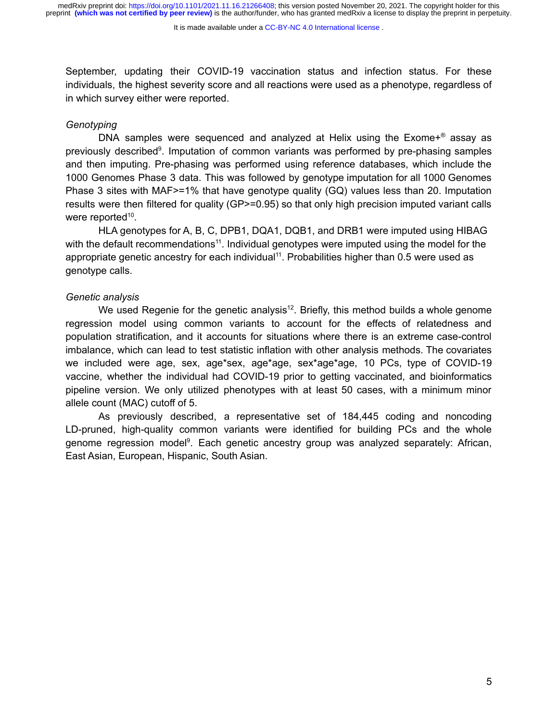#### It is made available under a [CC-BY-NC 4.0 International license](http://creativecommons.org/licenses/by-nc/4.0/) .

September, updating their COVID-19 vaccination status and infection status. For these individuals, the highest severity score and all reactions were used as a phenotype, regardless of in which survey either were reported.

# *Genotyping*

DNA samples were sequenced and analyzed at Helix using the  $Exome+^{\circ}$  assay as previously described<sup>[9](https://paperpile.com/c/dViNnc/Q5Faf)</sup>. Imputation of common variants was performed by pre-phasing samples and then imputing. Pre-phasing was performed using reference databases, which include the 1000 Genomes Phase 3 data. This was followed by genotype imputation for all 1000 Genomes Phase 3 sites with MAF>=1% that have genotype quality (GQ) values less than 20. Imputation results were then filtered for quality (GP>=0.95) so that only high precision imputed variant calls were reported<sup>[10](https://paperpile.com/c/dViNnc/yAT5)</sup>.

HLA genotypes for A, B, C, DPB1, DQA1, DQB1, and DRB1 were imputed using HIBAG with the default recommendations<sup>[11](https://paperpile.com/c/dViNnc/CxjC)</sup>. Individual genotypes were imputed using the model for the appropriate genetic ancestry for each individual<sup>[11](https://paperpile.com/c/dViNnc/CxjC)</sup>. Probabilities higher than  $0.5$  were used as genotype calls.

## *Genetic analysis*

We used Regenie for the genetic analysis<sup>[12](https://paperpile.com/c/dViNnc/Q44Nu)</sup>. Briefly, this method builds a whole genome regression model using common variants to account for the effects of relatedness and population stratification, and it accounts for situations where there is an extreme case-control imbalance, which can lead to test statistic inflation with other analysis methods. The covariates we included were age, sex, age\*sex, age\*age, sex\*age\*age, 10 PCs, type of COVID-19 vaccine, whether the individual had COVID-19 prior to getting vaccinated, and bioinformatics pipeline version. We only utilized phenotypes with at least 50 cases, with a minimum minor allele count (MAC) cutoff of 5.

As previously described, a representative set of 184,445 coding and noncoding LD-pruned, high-quality common variants were identified for building PCs and the whole genome regression model<sup>[9](https://paperpile.com/c/dViNnc/Q5Faf)</sup>. Each genetic ancestry group was analyzed separately: African, East Asian, European, Hispanic, South Asian.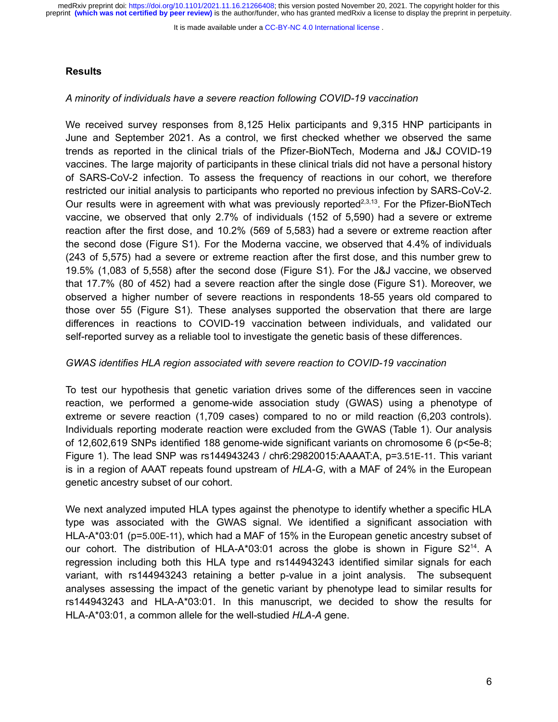It is made available under a [CC-BY-NC 4.0 International license](http://creativecommons.org/licenses/by-nc/4.0/) .

## **Results**

## *A minority of individuals have a severe reaction following COVID-19 vaccination*

We received survey responses from 8,125 Helix participants and 9,315 HNP participants in June and September 2021. As a control, we first checked whether we observed the same trends as reported in the clinical trials of the Pfizer-BioNTech, Moderna and J&J COVID-19 vaccines. The large majority of participants in these clinical trials did not have a personal history of SARS-CoV-2 infection. To assess the frequency of reactions in our cohort, we therefore restricted our initial analysis to participants who reported no previous infection by SARS-CoV-2. Our results were in agreement with what was previously reported<sup>[2,3](https://paperpile.com/c/dViNnc/vaEI+I9s8)[,13](https://paperpile.com/c/dViNnc/Sc9Z)</sup>. For the Pfizer-BioNTech vaccine, we observed that only 2.7% of individuals (152 of 5,590) had a severe or extreme reaction after the first dose, and 10.2% (569 of 5,583) had a severe or extreme reaction after the second dose (Figure S1). For the Moderna vaccine, we observed that 4.4% of individuals (243 of 5,575) had a severe or extreme reaction after the first dose, and this number grew to 19.5% (1,083 of 5,558) after the second dose (Figure S1). For the J&J vaccine, we observed that 17.7% (80 of 452) had a severe reaction after the single dose (Figure S1). Moreover, we observed a higher number of severe reactions in respondents 18-55 years old compared to those over 55 (Figure S1). These analyses supported the observation that there are large differences in reactions to COVID-19 vaccination between individuals, and validated our self-reported survey as a reliable tool to investigate the genetic basis of these differences.

# *GWAS identifies HLA region associated with severe reaction to COVID-19 vaccination*

To test our hypothesis that genetic variation drives some of the differences seen in vaccine reaction, we performed a genome-wide association study (GWAS) using a phenotype of extreme or severe reaction (1,709 cases) compared to no or mild reaction (6,203 controls). Individuals reporting moderate reaction were excluded from the GWAS (Table 1). Our analysis of 12,602,619 SNPs identified 188 genome-wide significant variants on chromosome 6 (p<5e-8; Figure 1). The lead SNP was rs144943243 / chr6:29820015:AAAAT:A, p=3.51E-11. This variant is in a region of AAAT repeats found upstream of *HLA-G*, with a MAF of 24% in the European genetic ancestry subset of our cohort.

We next analyzed imputed HLA types against the phenotype to identify whether a specific HLA type was associated with the GWAS signal. We identified a significant association with HLA-A\*03:01 (p=5.00E-11), which had a MAF of 15% in the European genetic ancestry subset of our cohort. The distribution of HLA-A\*03:01 across the globe is shown in Figure  $S2^{14}$  $S2^{14}$  $S2^{14}$ . A regression including both this HLA type and rs144943243 identified similar signals for each variant, with rs144943243 retaining a better p-value in a joint analysis. The subsequent analyses assessing the impact of the genetic variant by phenotype lead to similar results for rs144943243 and HLA-A\*03:01. In this manuscript, we decided to show the results for HLA-A\*03:01, a common allele for the well-studied *HLA-A* gene.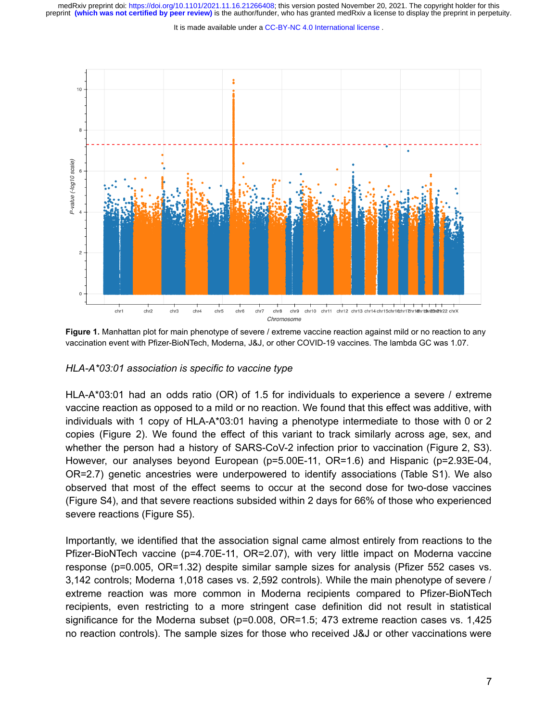It is made available under a [CC-BY-NC 4.0 International license](http://creativecommons.org/licenses/by-nc/4.0/) .



**Figure 1.** Manhattan plot for main phenotype of severe / extreme vaccine reaction against mild or no reaction to any vaccination event with Pfizer-BioNTech, Moderna, J&J, or other COVID-19 vaccines. The lambda GC was 1.07.

#### *HLA-A\*03:01 association is specific to vaccine type*

HLA-A\*03:01 had an odds ratio (OR) of 1.5 for individuals to experience a severe / extreme vaccine reaction as opposed to a mild or no reaction. We found that this effect was additive, with individuals with 1 copy of HLA-A\*03:01 having a phenotype intermediate to those with 0 or 2 copies (Figure 2). We found the effect of this variant to track similarly across age, sex, and whether the person had a history of SARS-CoV-2 infection prior to vaccination (Figure 2, S3). However, our analyses beyond European (p=5.00E-11, OR=1.6) and Hispanic (p=2.93E-04, OR=2.7) genetic ancestries were underpowered to identify associations (Table S1). We also observed that most of the effect seems to occur at the second dose for two-dose vaccines (Figure S4), and that severe reactions subsided within 2 days for 66% of those who experienced severe reactions (Figure S5).

Importantly, we identified that the association signal came almost entirely from reactions to the Pfizer-BioNTech vaccine (p=4.70E-11, OR=2.07), with very little impact on Moderna vaccine response (p=0.005, OR=1.32) despite similar sample sizes for analysis (Pfizer 552 cases vs. 3,142 controls; Moderna 1,018 cases vs. 2,592 controls). While the main phenotype of severe / extreme reaction was more common in Moderna recipients compared to Pfizer-BioNTech recipients, even restricting to a more stringent case definition did not result in statistical significance for the Moderna subset ( $p=0.008$ ,  $OR=1.5$ ; 473 extreme reaction cases vs. 1,425 no reaction controls). The sample sizes for those who received J&J or other vaccinations were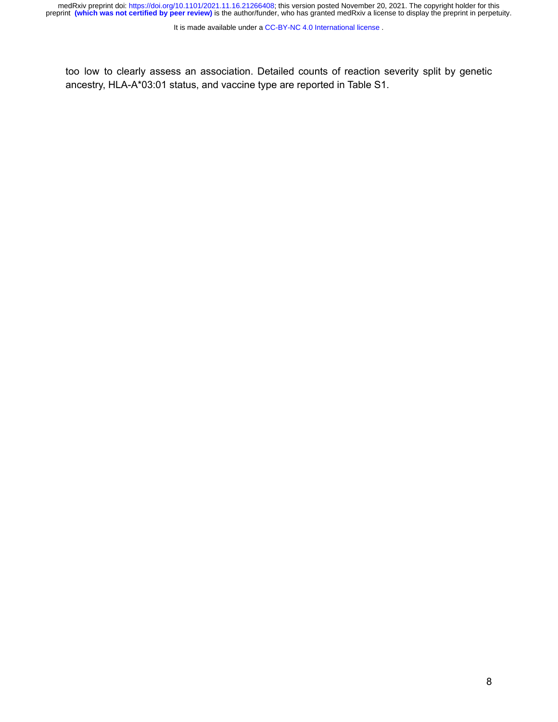medRxiv preprint doi: [https://doi.org/10.1101/2021.11.16.21266408;](https://doi.org/10.1101/2021.11.16.21266408) this version posted November 20, 2021. The copyright holder for this<br>preprint (which was not certified by peer review) is the author/funder, who has grante

It is made available under a [CC-BY-NC 4.0 International license](http://creativecommons.org/licenses/by-nc/4.0/) .

too low to clearly assess an association. Detailed counts of reaction severity split by genetic ancestry, HLA-A\*03:01 status, and vaccine type are reported in Table S1.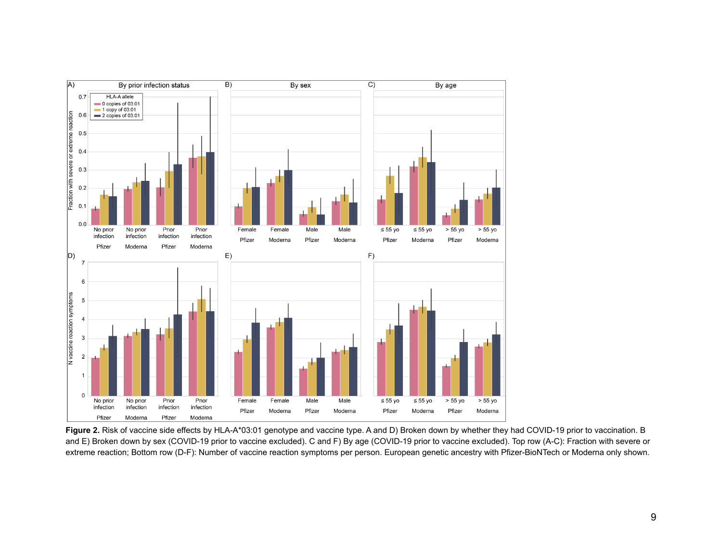

Figure 2. Risk of vaccine side effects by HLA-A\*03:01 genotype and vaccine type. A and D) Broken down by whether they had COVID-19 prior to vaccination. B and E) Broken down by sex (COVID-19 prior to vaccine excluded). C and F) By age (COVID-19 prior to vaccine excluded). Top row (A-C): Fraction with severe or extreme reaction; Bottom row (D-F): Number of vaccine reaction symptoms per person. European genetic ancestry with Pfizer-BioNTech or Moderna only shown.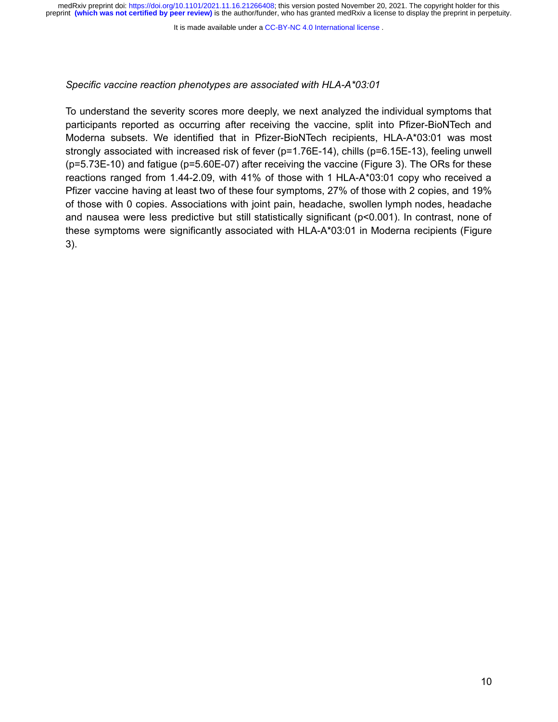It is made available under a [CC-BY-NC 4.0 International license](http://creativecommons.org/licenses/by-nc/4.0/) .

# *Specific vaccine reaction phenotypes are associated with HLA-A\*03:01*

To understand the severity scores more deeply, we next analyzed the individual symptoms that participants reported as occurring after receiving the vaccine, split into Pfizer-BioNTech and Moderna subsets. We identified that in Pfizer-BioNTech recipients, HLA-A\*03:01 was most strongly associated with increased risk of fever (p=1.76E-14), chills (p=6.15E-13), feeling unwell (p=5.73E-10) and fatigue (p=5.60E-07) after receiving the vaccine (Figure 3). The ORs for these reactions ranged from 1.44-2.09, with 41% of those with 1 HLA-A\*03:01 copy who received a Pfizer vaccine having at least two of these four symptoms, 27% of those with 2 copies, and 19% of those with 0 copies. Associations with joint pain, headache, swollen lymph nodes, headache and nausea were less predictive but still statistically significant (p<0.001). In contrast, none of these symptoms were significantly associated with HLA-A\*03:01 in Moderna recipients (Figure 3).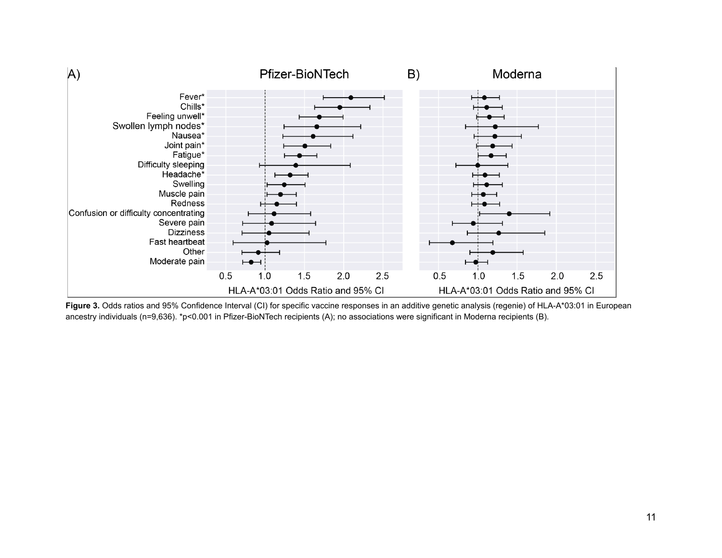

Figure 3. Odds ratios and 95% Confidence Interval (CI) for specific vaccine responses in an additive genetic analysis (regenie) of HLA-A\*03:01 in European ancestry individuals (n=9,636). \*p<0.001 in Pfizer-BioNTech recipients (A); no associations were significant in Moderna recipients (B).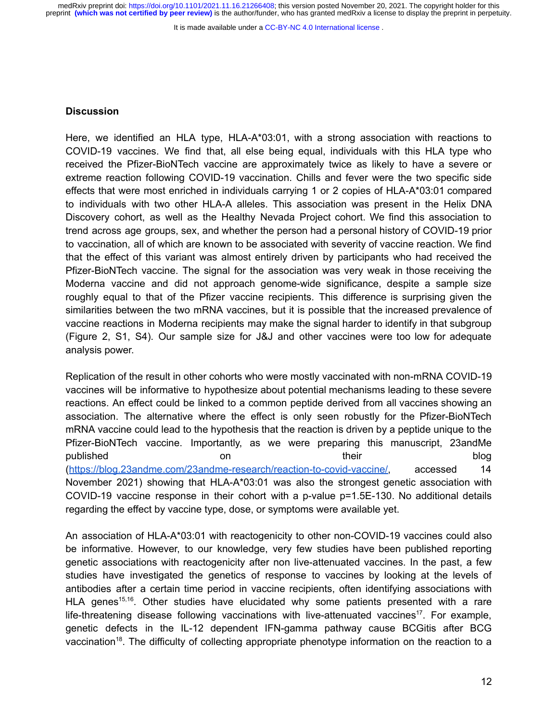It is made available under a [CC-BY-NC 4.0 International license](http://creativecommons.org/licenses/by-nc/4.0/) .

#### **Discussion**

Here, we identified an HLA type, HLA-A\*03:01, with a strong association with reactions to COVID-19 vaccines. We find that, all else being equal, individuals with this HLA type who received the Pfizer-BioNTech vaccine are approximately twice as likely to have a severe or extreme reaction following COVID-19 vaccination. Chills and fever were the two specific side effects that were most enriched in individuals carrying 1 or 2 copies of HLA-A\*03:01 compared to individuals with two other HLA-A alleles. This association was present in the Helix DNA Discovery cohort, as well as the Healthy Nevada Project cohort. We find this association to trend across age groups, sex, and whether the person had a personal history of COVID-19 prior to vaccination, all of which are known to be associated with severity of vaccine reaction. We find that the effect of this variant was almost entirely driven by participants who had received the Pfizer-BioNTech vaccine. The signal for the association was very weak in those receiving the Moderna vaccine and did not approach genome-wide significance, despite a sample size roughly equal to that of the Pfizer vaccine recipients. This difference is surprising given the similarities between the two mRNA vaccines, but it is possible that the increased prevalence of vaccine reactions in Moderna recipients may make the signal harder to identify in that subgroup (Figure 2, S1, S4). Our sample size for J&J and other vaccines were too low for adequate analysis power.

Replication of the result in other cohorts who were mostly vaccinated with non-mRNA COVID-19 vaccines will be informative to hypothesize about potential mechanisms leading to these severe reactions. An effect could be linked to a common peptide derived from all vaccines showing an association. The alternative where the effect is only seen robustly for the Pfizer-BioNTech mRNA vaccine could lead to the hypothesis that the reaction is driven by a peptide unique to the Pfizer-BioNTech vaccine. Importantly, as we were preparing this manuscript, 23andMe published blog on their blog ([https://blog.23andme.com/23andme-research/reaction-to-covid-vaccine/,](https://blog.23andme.com/23andme-research/reaction-to-covid-vaccine/) accessed 14 November 2021) showing that HLA-A\*03:01 was also the strongest genetic association with COVID-19 vaccine response in their cohort with a p-value p=1.5E-130. No additional details regarding the effect by vaccine type, dose, or symptoms were available yet.

An association of HLA-A\*03:01 with reactogenicity to other non-COVID-19 vaccines could also be informative. However, to our knowledge, very few studies have been published reporting genetic associations with reactogenicity after non live-attenuated vaccines. In the past, a few studies have investigated the genetics of response to vaccines by looking at the levels of antibodies after a certain time period in vaccine recipients, often identifying associations with HLA genes<sup>[15,16](https://paperpile.com/c/dViNnc/FLfh+1IPZ)</sup>. Other studies have elucidated why some patients presented with a rare life-threatening disease following vaccinations with live-attenuated vaccines<sup>[17](https://paperpile.com/c/dViNnc/8Hy3)</sup>. For example, genetic defects in the IL-12 dependent IFN-gamma pathway cause BCGitis after BCG vaccination<sup>[18](https://paperpile.com/c/dViNnc/7sHU)</sup>. The difficulty of collecting appropriate phenotype information on the reaction to a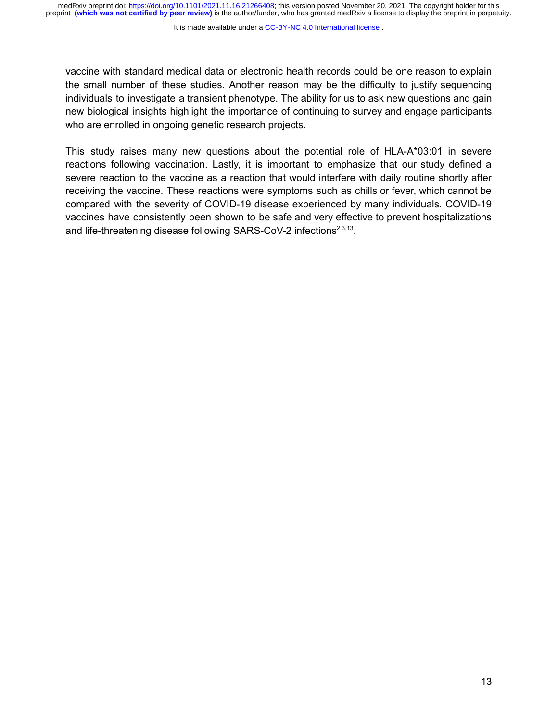It is made available under a [CC-BY-NC 4.0 International license](http://creativecommons.org/licenses/by-nc/4.0/) .

vaccine with standard medical data or electronic health records could be one reason to explain the small number of these studies. Another reason may be the difficulty to justify sequencing individuals to investigate a transient phenotype. The ability for us to ask new questions and gain new biological insights highlight the importance of continuing to survey and engage participants who are enrolled in ongoing genetic research projects.

This study raises many new questions about the potential role of HLA-A\*03:01 in severe reactions following vaccination. Lastly, it is important to emphasize that our study defined a severe reaction to the vaccine as a reaction that would interfere with daily routine shortly after receiving the vaccine. These reactions were symptoms such as chills or fever, which cannot be compared with the severity of COVID-19 disease experienced by many individuals. COVID-19 vaccines have consistently been shown to be safe and very effective to prevent hospitalizations and life-threatening disease following SARS-CoV-2 infections<sup>[2,3,13](https://paperpile.com/c/dViNnc/I9s8+vaEI+Sc9Z)</sup>.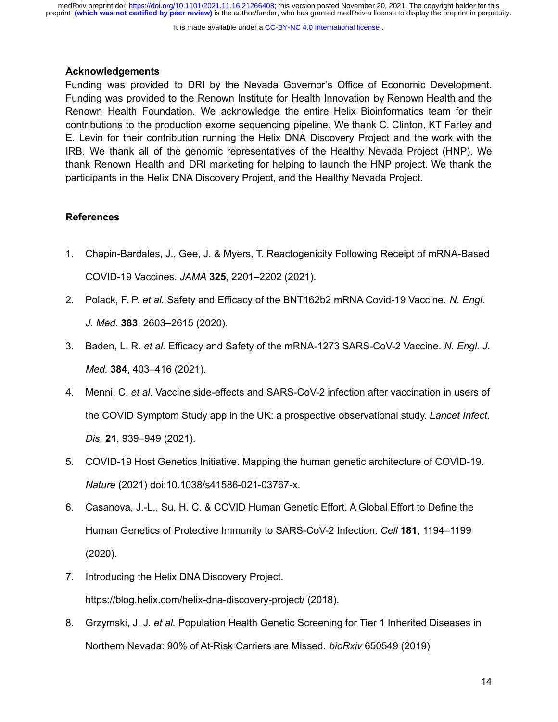It is made available under a [CC-BY-NC 4.0 International license](http://creativecommons.org/licenses/by-nc/4.0/) .

## **Acknowledgements**

Funding was provided to DRI by the Nevada Governor's Office of Economic Development. Funding was provided to the Renown Institute for Health Innovation by Renown Health and the Renown Health Foundation. We acknowledge the entire Helix Bioinformatics team for their contributions to the production exome sequencing pipeline. We thank C. Clinton, KT Farley and E. Levin for their contribution running the Helix DNA Discovery Project and the work with the IRB. We thank all of the genomic representatives of the Healthy Nevada Project (HNP). We thank Renown Health and DRI marketing for helping to launch the HNP project. We thank the participants in the Helix DNA Discovery Project, and the Healthy Nevada Project.

# **References**

- 1. [Chapin-Bardales, J., Gee, J. & Myers, T. Reactogenicity Following Receipt of mRNA-Based](http://paperpile.com/b/dViNnc/4pSY) [COVID-19 Vaccines.](http://paperpile.com/b/dViNnc/4pSY) *JAMA* **325**, 2201–2202 (2021).
- 2. Polack, F. P. *et al.* [Safety and Efficacy of the BNT162b2 mRNA Covid-19 Vaccine.](http://paperpile.com/b/dViNnc/vaEI) *N. Engl. J. Med.* **383**[, 2603–2615 \(2020\).](http://paperpile.com/b/dViNnc/vaEI)
- 3. Baden, L. R. *et al.* [Efficacy and Safety of the mRNA-1273 SARS-CoV-2 Vaccine.](http://paperpile.com/b/dViNnc/I9s8) *N. Engl. J. Med.* **384**[, 403–416 \(2021\).](http://paperpile.com/b/dViNnc/I9s8)
- 4. Menni, C. *et al.* [Vaccine side-effects and SARS-CoV-2 infection after vaccination in users of](http://paperpile.com/b/dViNnc/8etY) [the COVID Symptom Study app in the UK: a prospective observational study.](http://paperpile.com/b/dViNnc/8etY) *Lancet Infect. Dis.* **21**[, 939–949 \(2021\).](http://paperpile.com/b/dViNnc/8etY)
- 5. [COVID-19 Host Genetics Initiative. Mapping the human genetic architecture of COVID-19.](http://paperpile.com/b/dViNnc/vZ5T) *Nature* [\(2021\) doi:](http://paperpile.com/b/dViNnc/vZ5T)[10.1038/s41586-021-03767-x](http://dx.doi.org/10.1038/s41586-021-03767-x)[.](http://paperpile.com/b/dViNnc/vZ5T)
- 6. [Casanova, J.-L., Su, H. C. & COVID Human Genetic Effort. A Global Effort to Define the](http://paperpile.com/b/dViNnc/0k8P) [Human Genetics of Protective Immunity to SARS-CoV-2 Infection.](http://paperpile.com/b/dViNnc/0k8P) *Cell* **181**, 1194–1199 [\(2020\).](http://paperpile.com/b/dViNnc/0k8P)
- 7. [Introducing the Helix DNA Discovery Project.](http://paperpile.com/b/dViNnc/Eyfro) <https://blog.helix.com/helix-dna-discovery-project/> [\(2018\).](http://paperpile.com/b/dViNnc/Eyfro)
- 8. Grzymski, J. J. *et al.* [Population Health Genetic Screening for Tier 1 Inherited Diseases in](http://paperpile.com/b/dViNnc/rCjpF) [Northern Nevada: 90% of At-Risk Carriers are Missed.](http://paperpile.com/b/dViNnc/rCjpF) *bioRxiv* 650549 (2019)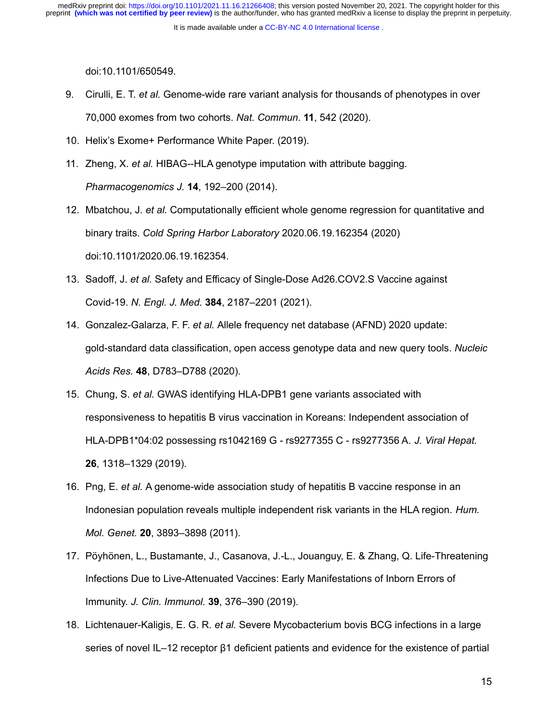It is made available under a [CC-BY-NC 4.0 International license](http://creativecommons.org/licenses/by-nc/4.0/) .

[doi:](http://paperpile.com/b/dViNnc/rCjpF)[10.1101/650549](http://dx.doi.org/10.1101/650549)[.](http://paperpile.com/b/dViNnc/rCjpF)

- 9. Cirulli, E. T. *et al.* [Genome-wide rare variant analysis for thousands of phenotypes in over](http://paperpile.com/b/dViNnc/Q5Faf) [70,000 exomes from two cohorts.](http://paperpile.com/b/dViNnc/Q5Faf) *Nat. Commun.* **11**, 542 (2020).
- 10. [Helix's Exome+ Performance White Paper. \(2019\).](http://paperpile.com/b/dViNnc/yAT5)
- 11. Zheng, X. *et al.* [HIBAG--HLA genotype imputation with attribute bagging.](http://paperpile.com/b/dViNnc/CxjC) *[Pharmacogenomics J.](http://paperpile.com/b/dViNnc/CxjC)* **14**, 192–200 (2014).
- 12. Mbatchou, J. *et al.* [Computationally efficient whole genome regression for quantitative and](http://paperpile.com/b/dViNnc/Q44Nu) binary traits. *Cold Spring Harbor Laboratory* [2020.06.19.162354 \(2020\)](http://paperpile.com/b/dViNnc/Q44Nu) [doi:](http://paperpile.com/b/dViNnc/Q44Nu)[10.1101/2020.06.19.162354](http://dx.doi.org/10.1101/2020.06.19.162354)[.](http://paperpile.com/b/dViNnc/Q44Nu)
- 13. Sadoff, J. *et al.* [Safety and Efficacy of Single-Dose Ad26.COV2.S Vaccine against](http://paperpile.com/b/dViNnc/Sc9Z) Covid-19. *N. Engl. J. Med.* **384**[, 2187–2201 \(2021\).](http://paperpile.com/b/dViNnc/Sc9Z)
- 14. Gonzalez-Galarza, F. F. *et al.* [Allele frequency net database \(AFND\) 2020 update:](http://paperpile.com/b/dViNnc/O9XC) [gold-standard data classification, open access genotype data and new query tools.](http://paperpile.com/b/dViNnc/O9XC) *Nucleic Acids Res.* **48**[, D783–D788 \(2020\).](http://paperpile.com/b/dViNnc/O9XC)
- 15. Chung, S. *et al.* [GWAS identifying HLA-DPB1 gene variants associated with](http://paperpile.com/b/dViNnc/FLfh) [responsiveness to hepatitis B virus vaccination in Koreans: Independent association of](http://paperpile.com/b/dViNnc/FLfh) [HLA-DPB1\\*04:02 possessing rs1042169 G - rs9277355 C - rs9277356 A.](http://paperpile.com/b/dViNnc/FLfh) *J. Viral Hepat.* **26**[, 1318–1329 \(2019\).](http://paperpile.com/b/dViNnc/FLfh)
- 16. Png, E. *et al.* [A genome-wide association study of hepatitis B vaccine response in an](http://paperpile.com/b/dViNnc/1IPZ) [Indonesian population reveals multiple independent risk variants in the HLA region.](http://paperpile.com/b/dViNnc/1IPZ) *Hum. Mol. Genet.* **20**[, 3893–3898 \(2011\).](http://paperpile.com/b/dViNnc/1IPZ)
- 17. [Pöyhönen, L., Bustamante, J., Casanova, J.-L., Jouanguy, E. & Zhang, Q. Life-Threatening](http://paperpile.com/b/dViNnc/8Hy3) [Infections Due to Live-Attenuated Vaccines: Early Manifestations of Inborn Errors of](http://paperpile.com/b/dViNnc/8Hy3) Immunity. *J. Clin. Immunol.* **39**[, 376–390 \(2019\).](http://paperpile.com/b/dViNnc/8Hy3)
- 18. Lichtenauer-Kaligis, E. G. R. *et al.* [Severe Mycobacterium bovis BCG infections in a large](http://paperpile.com/b/dViNnc/7sHU) [series of novel IL–12 receptor β1 deficient patients and evidence for the existence of partial](http://paperpile.com/b/dViNnc/7sHU)